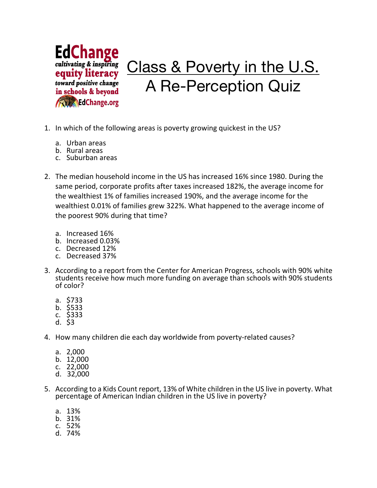

- 1. In which of the following areas is poverty growing quickest in the US?
	- a. Urban areas
	- b. Rural areas
	- c. Suburban areas
- 2. The median household income in the US has increased 16% since 1980. During the same period, corporate profits after taxes increased 182%, the average income for the wealthiest 1% of families increased 190%, and the average income for the wealthiest 0.01% of families grew 322%. What happened to the average income of the poorest 90% during that time?
	- a. Increased 16%
	- b. Increased 0.03%
	- c. Decreased 12%
	- c. Decreased 37%
- 3. According to a report from the Center for American Progress, schools with 90% white students receive how much more funding on average than schools with 90% students of color?
	- a. \$733
	- b. \$533
	- c. \$333
	- d. \$3
- 4. How many children die each day worldwide from poverty-related causes?
	- a. 2,000
	- b. 12,000
	- c. 22,000
	- d.  $32,000$
- 5. According to a Kids Count report, 13% of White children in the US live in poverty. What percentage of American Indian children in the US live in poverty?
	- a. 13%
	- b. 31%
	- c. 52%
	- d. 74%